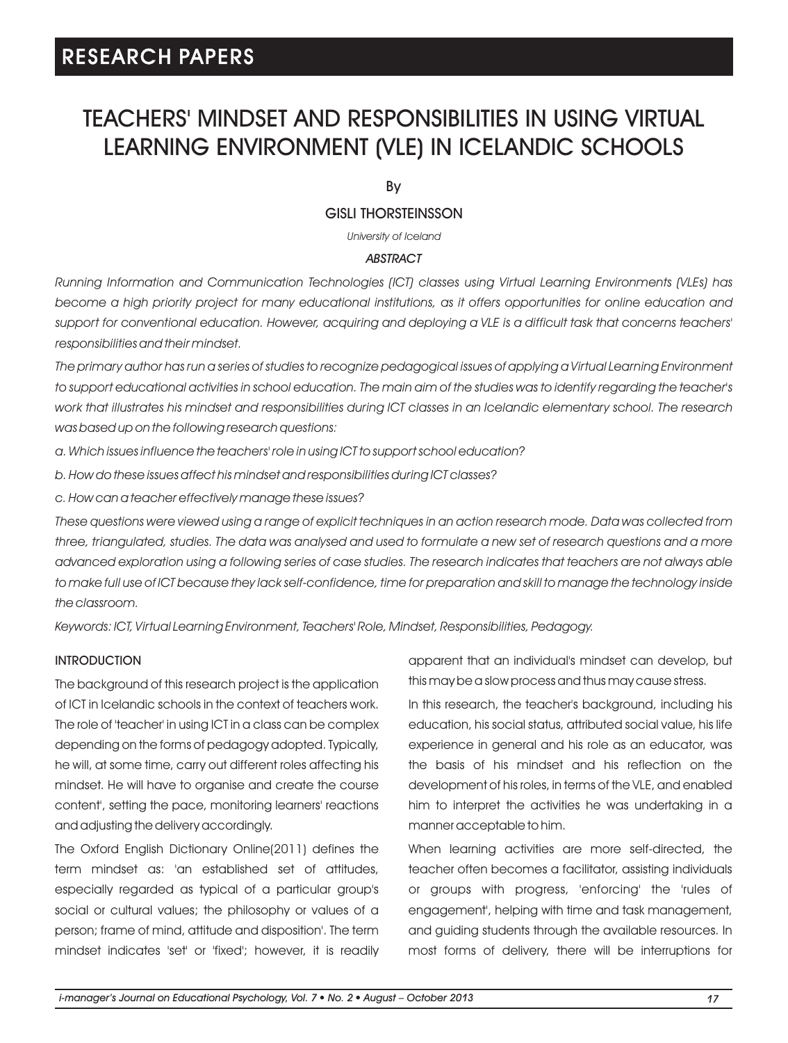## TEACHERS' MINDSET AND RESPONSIBILITIES IN USING VIRTUAL LEARNING ENVIRONMENT (VLE) IN ICELANDIC SCHOOLS

By

## GISLI THORSTEINSSON

*University of Iceland*

### *ABSTRACT*

*Running Information and Communication Technologies (ICT) classes using Virtual Learning Environments (VLEs) has become a high priority project for many educational institutions, as it offers opportunities for online education and*  support for conventional education. However, acquiring and deploying a VLE is a difficult task that concerns teachers' *responsibilities and their mindset.* 

*The primary author has run a series of studies to recognize pedagogical issues of applying a Virtual Learning Environment to support educational activities in school education. The main aim of the studies was to identify regarding the teacher's work that illustrates his mindset and responsibilities during ICT classes in an Icelandic elementary school. The research was based up on the following research questions:*

*a. Which issues influence the teachers' role in using ICT to support school education?*

*b. How do these issues affect his mindset and responsibilities during ICT classes?*

*c. How can a teacher effectively manage these issues?*

*These questions were viewed using a range of explicit techniques in an action research mode. Data was collected from three, triangulated, studies. The data was analysed and used to formulate a new set of research questions and a more advanced exploration using a following series of case studies. The research indicates that teachers are not always able to make full use of ICT because they lack self-confidence, time for preparation and skill to manage the technology inside the classroom.*

*Keywords: ICT, Virtual Learning Environment, Teachers' Role, Mindset, Responsibilities, Pedagogy.*

#### **INTRODUCTION**

The background of this research project is the application of ICT in Icelandic schools in the context of teachers work. The role of 'teacher' in using ICT in a class can be complex depending on the forms of pedagogy adopted. Typically, he will, at some time, carry out different roles affecting his mindset. He will have to organise and create the course content', setting the pace, monitoring learners' reactions and adjusting the delivery accordingly.

The Oxford English Dictionary Online(2011) defines the term mindset as: 'an established set of attitudes, especially regarded as typical of a particular group's social or cultural values; the philosophy or values of a person; frame of mind, attitude and disposition'. The term mindset indicates 'set' or 'fixed'; however, it is readily apparent that an individual's mindset can develop, but this may be a slow process and thus may cause stress.

In this research, the teacher's background, including his education, his social status, attributed social value, his life experience in general and his role as an educator, was the basis of his mindset and his reflection on the development of his roles, in terms of the VLE, and enabled him to interpret the activities he was undertaking in a manner acceptable to him.

When learning activities are more self-directed, the teacher often becomes a facilitator, assisting individuals or groups with progress, 'enforcing' the 'rules of engagement', helping with time and task management, and guiding students through the available resources. In most forms of delivery, there will be interruptions for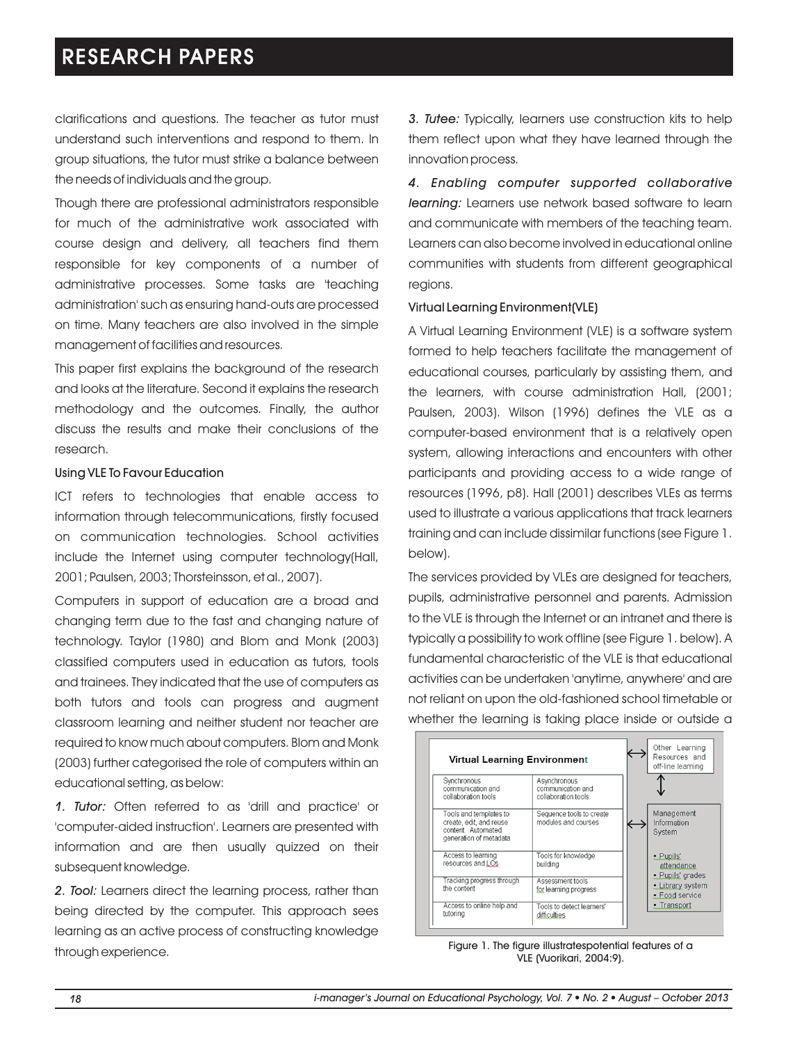clarifications and questions. The teacher as tutor must understand such interventions and respond to them. In group situations, the tutor must strike a balance between the needs of individuals and the group.

Though there are professional administrators responsible for much of the administrative work associated with course design and delivery, all teachers find them responsible for key components of a number of administrative processes. Some tasks are 'teaching administration' such as ensuring hand-outs are processed on time. Many teachers are also involved in the simple management of facilities and resources.

This paper first explains the background of the research and looks at the literature. Second it explains the research methodology and the outcomes. Finally, the author discuss the results and make their conclusions of the research.

#### Using VLE To Favour Education

ICT refers to technologies that enable access to information through telecommunications, firstly focused on communication technologies. School activities include the Internet using computer technology(Hall, 2001; Paulsen, 2003; Thorsteinsson, et al., 2007).

Computers in support of education are a broad and changing term due to the fast and changing nature of technology. Taylor (1980) and Blom and Monk (2003) classified computers used in education as tutors, tools and trainees. They indicated that the use of computers as both tutors and tools can progress and augment classroom learning and neither student nor teacher are required to know much about computers. Blom and Monk (2003) further categorised the role of computers within an educational setting, as below:

*1. Tutor:* Often referred to as 'drill and practice' or 'computer-aided instruction'. Learners are presented with information and are then usually quizzed on their subsequent knowledge.

*2. Tool:* Learners direct the learning process, rather than being directed by the computer. This approach sees learning as an active process of constructing knowledge through experience.

*3. Tutee:* Typically, learners use construction kits to help them reflect upon what they have learned through the innovation process.

*4. Enabling computer supported collaborative learning:* Learners use network based software to learn and communicate with members of the teaching team. Learners can also become involved in educational online communities with students from different geographical regions.

#### Virtual Learning Environment(VLE)

A Virtual Learning Environment (VLE) is a software system formed to help teachers facilitate the management of educational courses, particularly by assisting them, and the learners, with course administration Hall, (2001; Paulsen, 2003). Wilson (1996) defines the VLE as a computer-based environment that is a relatively open system, allowing interactions and encounters with other participants and providing access to a wide range of resources (1996, p8). Hall (2001) describes VLEs as terms used to illustrate a various applications that track learners training and can include dissimilar functions (see Figure 1. below).

The services provided by VLEs are designed for teachers, pupils, administrative personnel and parents. Admission to the VLE is through the Internet or an intranet and there is typically a possibility to work offline (see Figure 1. below). A fundamental characteristic of the VLE is that educational activities can be undertaken 'anytime, anywhere' and are not reliant on upon the old-fashioned school timetable or whether the learning is taking place inside or outside a



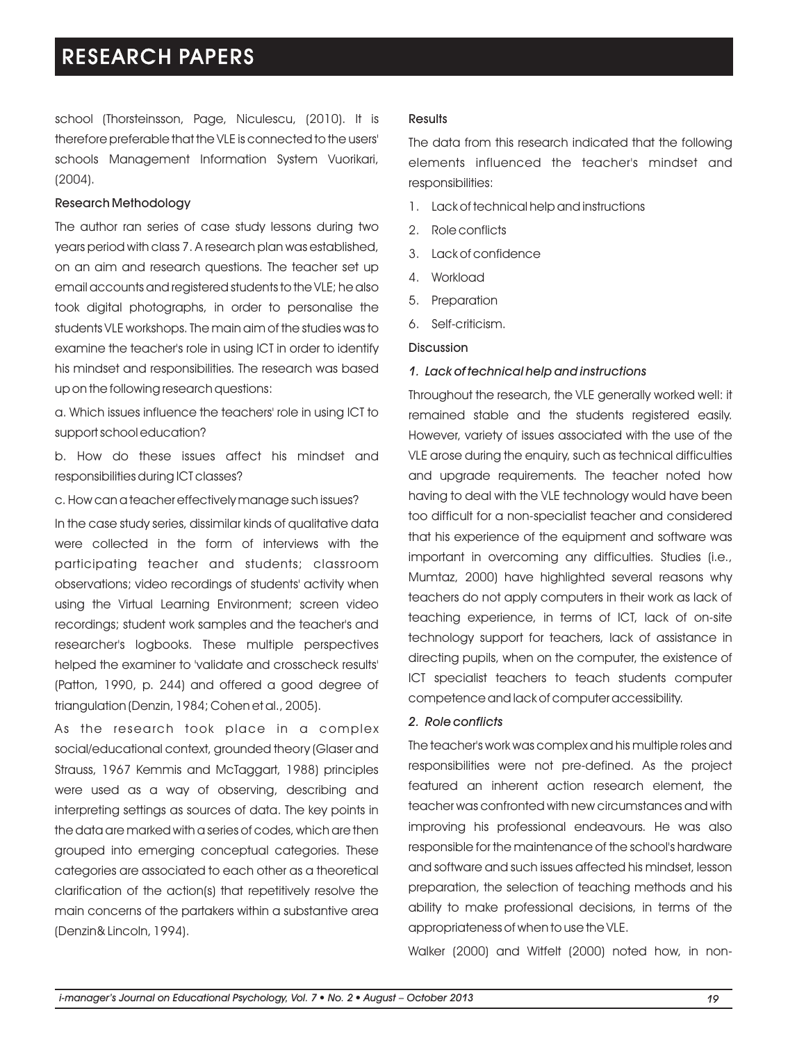school (Thorsteinsson, Page, Niculescu, (2010). It is therefore preferable that the VLE is connected to the users' schools Management Information System Vuorikari, (2004).

#### Research Methodology

The author ran series of case study lessons during two years period with class 7. A research plan was established, on an aim and research questions. The teacher set up email accounts and registered students to the VLE; he also took digital photographs, in order to personalise the students VLE workshops. The main aim of the studies was to examine the teacher's role in using ICT in order to identify his mindset and responsibilities. The research was based up on the following research questions:

a. Which issues influence the teachers' role in using ICT to support school education?

b. How do these issues affect his mindset and responsibilities during ICT classes?

c. How can a teacher effectively manage such issues?

In the case study series, dissimilar kinds of qualitative data were collected in the form of interviews with the participating teacher and students; classroom observations; video recordings of students' activity when using the Virtual Learning Environment; screen video recordings; student work samples and the teacher's and researcher's logbooks. These multiple perspectives helped the examiner to 'validate and crosscheck results' (Patton, 1990, p. 244) and offered a good degree of triangulation (Denzin, 1984; Cohen et al., 2005).

As the research took place in a complex social/educational context, grounded theory (Glaser and Strauss, 1967 Kemmis and McTaggart, 1988) principles were used as a way of observing, describing and interpreting settings as sources of data. The key points in the data are marked with a series of codes, which are then grouped into emerging conceptual categories. These categories are associated to each other as a theoretical clarification of the action(s) that repetitively resolve the main concerns of the partakers within a substantive area (Denzin& Lincoln, 1994).

#### **Results**

The data from this research indicated that the following elements influenced the teacher's mindset and responsibilities:

- 1. Lack of technical help and instructions
- 2. Role conflicts
- 3. Lack of confidence
- 4. Workload
- 5. Preparation
- 6. Self-criticism.

#### Discussion

#### *1. Lack of technical help and instructions*

Throughout the research, the VLE generally worked well: it remained stable and the students registered easily. However, variety of issues associated with the use of the VLE arose during the enquiry, such as technical difficulties and upgrade requirements. The teacher noted how having to deal with the VLE technology would have been too difficult for a non-specialist teacher and considered that his experience of the equipment and software was important in overcoming any difficulties. Studies (i.e., Mumtaz, 2000) have highlighted several reasons why teachers do not apply computers in their work as lack of teaching experience, in terms of ICT, lack of on-site technology support for teachers, lack of assistance in directing pupils, when on the computer, the existence of ICT specialist teachers to teach students computer competence and lack of computer accessibility.

#### *2. Role conflicts*

The teacher's work was complex and his multiple roles and responsibilities were not pre-defined. As the project featured an inherent action research element, the teacher was confronted with new circumstances and with improving his professional endeavours. He was also responsible for the maintenance of the school's hardware and software and such issues affected his mindset, lesson preparation, the selection of teaching methods and his ability to make professional decisions, in terms of the appropriateness of when to use the VLE.

Walker (2000) and Witfelt (2000) noted how, in non-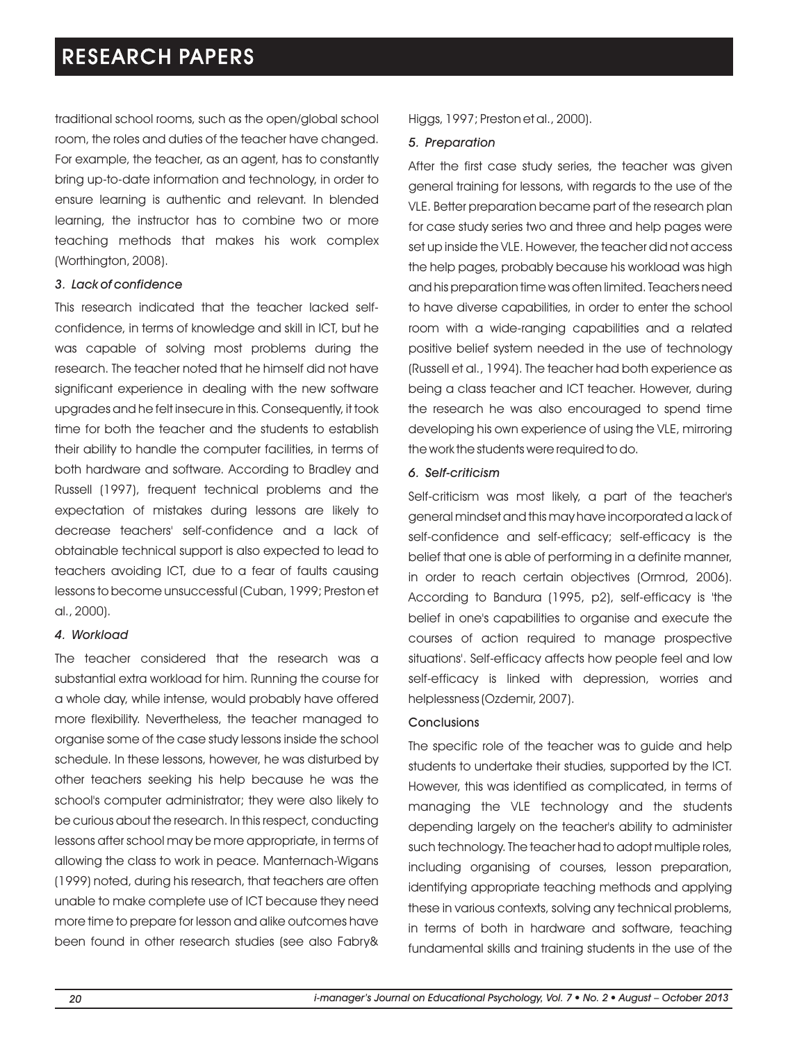traditional school rooms, such as the open/global school room, the roles and duties of the teacher have changed. For example, the teacher, as an agent, has to constantly bring up-to-date information and technology, in order to ensure learning is authentic and relevant. In blended learning, the instructor has to combine two or more teaching methods that makes his work complex (Worthington, 2008).

### *3. Lack of confidence*

This research indicated that the teacher lacked selfconfidence, in terms of knowledge and skill in ICT, but he was capable of solving most problems during the research. The teacher noted that he himself did not have significant experience in dealing with the new software upgrades and he felt insecure in this. Consequently, it took time for both the teacher and the students to establish their ability to handle the computer facilities, in terms of both hardware and software. According to Bradley and Russell (1997), frequent technical problems and the expectation of mistakes during lessons are likely to decrease teachers' self-confidence and a lack of obtainable technical support is also expected to lead to teachers avoiding ICT, due to a fear of faults causing lessons to become unsuccessful (Cuban, 1999; Preston et al., 2000).

### *4. Workload*

The teacher considered that the research was a substantial extra workload for him. Running the course for a whole day, while intense, would probably have offered more flexibility. Nevertheless, the teacher managed to organise some of the case study lessons inside the school schedule. In these lessons, however, he was disturbed by other teachers seeking his help because he was the school's computer administrator; they were also likely to be curious about the research. In this respect, conducting lessons after school may be more appropriate, in terms of allowing the class to work in peace. Manternach-Wigans (1999) noted, during his research, that teachers are often unable to make complete use of ICT because they need more time to prepare for lesson and alike outcomes have been found in other research studies (see also Fabry&

Higgs, 1997; Preston et al., 2000).

### *5. Preparation*

After the first case study series, the teacher was given general training for lessons, with regards to the use of the VLE. Better preparation became part of the research plan for case study series two and three and help pages were set up inside the VLE. However, the teacher did not access the help pages, probably because his workload was high and his preparation time was often limited. Teachers need to have diverse capabilities, in order to enter the school room with a wide-ranging capabilities and a related positive belief system needed in the use of technology (Russell et al., 1994). The teacher had both experience as being a class teacher and ICT teacher. However, during the research he was also encouraged to spend time developing his own experience of using the VLE, mirroring the work the students were required to do.

### *6. Self-criticism*

Self-criticism was most likely, a part of the teacher's general mindset and this may have incorporated a lack of self-confidence and self-efficacy; self-efficacy is the belief that one is able of performing in a definite manner, in order to reach certain objectives (Ormrod, 2006). According to Bandura (1995, p2), self-efficacy is 'the belief in one's capabilities to organise and execute the courses of action required to manage prospective situations'. Self-efficacy affects how people feel and low self-efficacy is linked with depression, worries and helplessness (Ozdemir, 2007).

#### **Conclusions**

The specific role of the teacher was to guide and help students to undertake their studies, supported by the ICT. However, this was identified as complicated, in terms of managing the VLE technology and the students depending largely on the teacher's ability to administer such technology. The teacher had to adopt multiple roles, including organising of courses, lesson preparation, identifying appropriate teaching methods and applying these in various contexts, solving any technical problems, in terms of both in hardware and software, teaching fundamental skills and training students in the use of the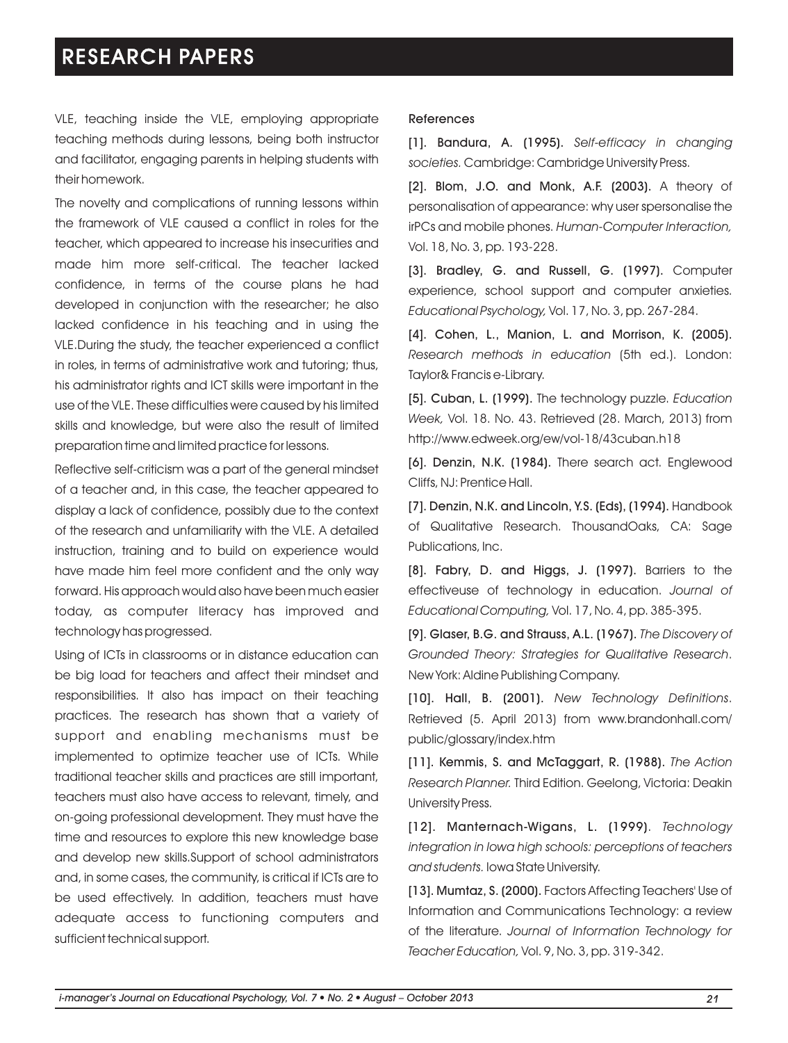VLE, teaching inside the VLE, employing appropriate teaching methods during lessons, being both instructor and facilitator, engaging parents in helping students with their homework.

The novelty and complications of running lessons within the framework of VLE caused a conflict in roles for the teacher, which appeared to increase his insecurities and made him more self-critical. The teacher lacked confidence, in terms of the course plans he had developed in conjunction with the researcher; he also lacked confidence in his teaching and in using the VLE.During the study, the teacher experienced a conflict in roles, in terms of administrative work and tutoring; thus, his administrator rights and ICT skills were important in the use of the VLE. These difficulties were caused by his limited skills and knowledge, but were also the result of limited preparation time and limited practice for lessons.

Reflective self-criticism was a part of the general mindset of a teacher and, in this case, the teacher appeared to display a lack of confidence, possibly due to the context of the research and unfamiliarity with the VLE. A detailed instruction, training and to build on experience would have made him feel more confident and the only way forward. His approach would also have been much easier today, as computer literacy has improved and technology has progressed.

Using of ICTs in classrooms or in distance education can be big load for teachers and affect their mindset and responsibilities. It also has impact on their teaching practices. The research has shown that a variety of support and enabling mechanisms must be implemented to optimize teacher use of ICTs. While traditional teacher skills and practices are still important, teachers must also have access to relevant, timely, and on-going professional development. They must have the time and resources to explore this new knowledge base and develop new skills.Support of school administrators and, in some cases, the community, is critical if ICTs are to be used effectively. In addition, teachers must have adequate access to functioning computers and sufficient technical support.

#### References

[1]. Bandura, A. (1995). *Self-efficacy in changing societies.* Cambridge: Cambridge University Press.

[2]. Blom, J.O. and Monk, A.F. (2003). A theory of personalisation of appearance: why user spersonalise the irPCs and mobile phones. *Human-Computer Interaction,*  Vol. 18, No. 3, pp. 193-228.

[3]. Bradley, G. and Russell, G. (1997). Computer experience, school support and computer anxieties. *Educational Psychology,* Vol. 17, No. 3, pp. 267-284.

[4]. Cohen, L., Manion, L. and Morrison, K. (2005). *Research methods in education* (5th ed.). London: Taylor& Francis e-Library.

[5]. Cuban, L. (1999). The technology puzzle. *Education Week,* Vol. 18. No. 43. Retrieved (28. March, 2013) from http://www.edweek.org/ew/vol-18/43cuban.h18

[6]. Denzin, N.K. (1984). There search act. Englewood Cliffs, NJ: Prentice Hall.

[7]. Denzin, N.K. and Lincoln, Y.S. (Eds), (1994). Handbook of Qualitative Research. ThousandOaks, CA: Sage Publications, Inc.

[8]. Fabry, D. and Higgs, J. (1997). Barriers to the effectiveuse of technology in education. *Journal of Educational Computing,* Vol. 17, No. 4, pp. 385-395.

[9]. Glaser, B.G. and Strauss, A.L. (1967). *The Discovery of Grounded Theory: Strategies for Qualitative Research*. New York: Aldine Publishing Company.

[10]. Hall, B. (2001). *New Technology Definitions*. Retrieved (5. April 2013) from www.brandonhall.com/ public/glossary/index.htm

[11]. Kemmis, S. and McTaggart, R. (1988). *The Action Research Planner.* Third Edition. Geelong, Victoria: Deakin University Press.

[12]. Manternach-Wigans, L. (1999). *Technology integration in Iowa high schools: perceptions of teachers and students.* Iowa State University.

[13]. Mumtaz, S. (2000). Factors Affecting Teachers' Use of Information and Communications Technology: a review of the literature. *Journal of Information Technology for Teacher Education,* Vol. 9, No. 3, pp. 319-342.